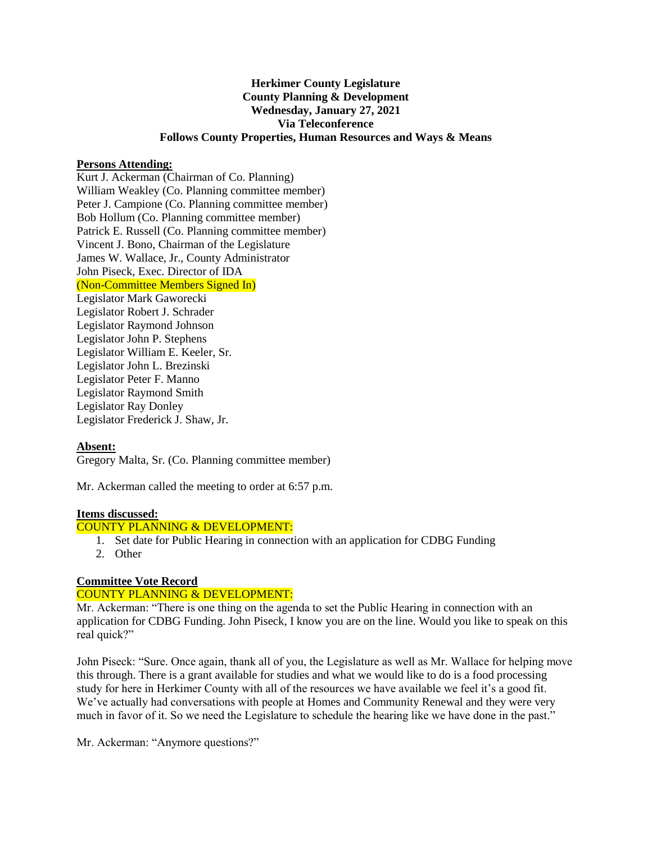## **Herkimer County Legislature County Planning & Development Wednesday, January 27, 2021 Via Teleconference Follows County Properties, Human Resources and Ways & Means**

#### **Persons Attending:**

Kurt J. Ackerman (Chairman of Co. Planning) William Weakley (Co. Planning committee member) Peter J. Campione (Co. Planning committee member) Bob Hollum (Co. Planning committee member) Patrick E. Russell (Co. Planning committee member) Vincent J. Bono, Chairman of the Legislature James W. Wallace, Jr., County Administrator John Piseck, Exec. Director of IDA (Non-Committee Members Signed In) Legislator Mark Gaworecki Legislator Robert J. Schrader Legislator Raymond Johnson Legislator John P. Stephens Legislator William E. Keeler, Sr. Legislator John L. Brezinski Legislator Peter F. Manno Legislator Raymond Smith Legislator Ray Donley Legislator Frederick J. Shaw, Jr.

## **Absent:**

Gregory Malta, Sr. (Co. Planning committee member)

Mr. Ackerman called the meeting to order at 6:57 p.m.

#### **Items discussed:**

### COUNTY PLANNING & DEVELOPMENT:

- 1. Set date for Public Hearing in connection with an application for CDBG Funding
- 2. Other

# **Committee Vote Record**

## COUNTY PLANNING & DEVELOPMENT:

Mr. Ackerman: "There is one thing on the agenda to set the Public Hearing in connection with an application for CDBG Funding. John Piseck, I know you are on the line. Would you like to speak on this real quick?"

John Piseck: "Sure. Once again, thank all of you, the Legislature as well as Mr. Wallace for helping move this through. There is a grant available for studies and what we would like to do is a food processing study for here in Herkimer County with all of the resources we have available we feel it's a good fit. We've actually had conversations with people at Homes and Community Renewal and they were very much in favor of it. So we need the Legislature to schedule the hearing like we have done in the past."

Mr. Ackerman: "Anymore questions?"